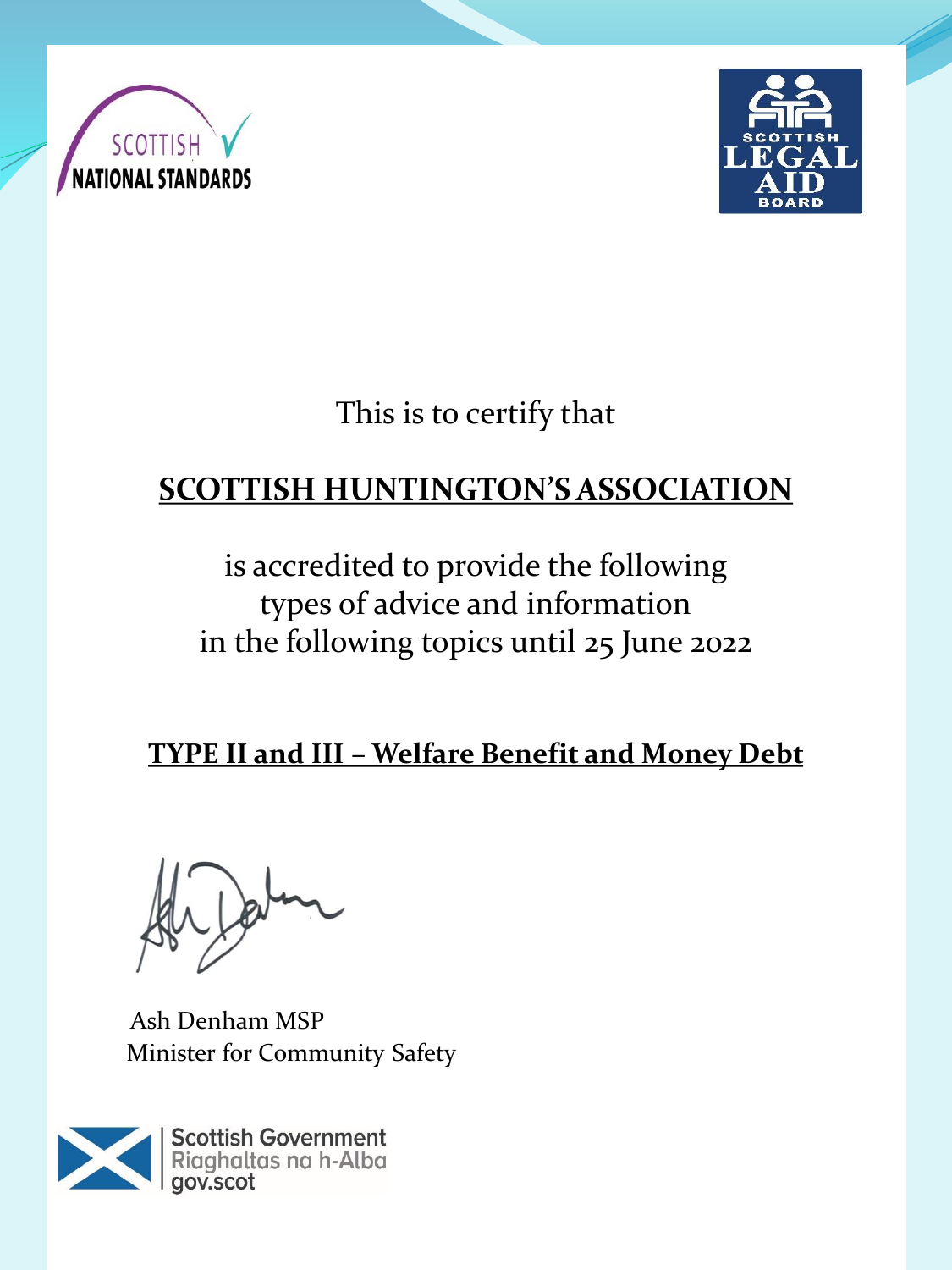



This is to certify that

# **SCOTTISH HUNTINGTON'S ASSOCIATION**

is accredited to provide the following types of advice and information in the following topics until 25 June 2022

**TYPE II and III – Welfare Benefit and Money Debt** 

Ash Denham MSP Minister for Community Safety

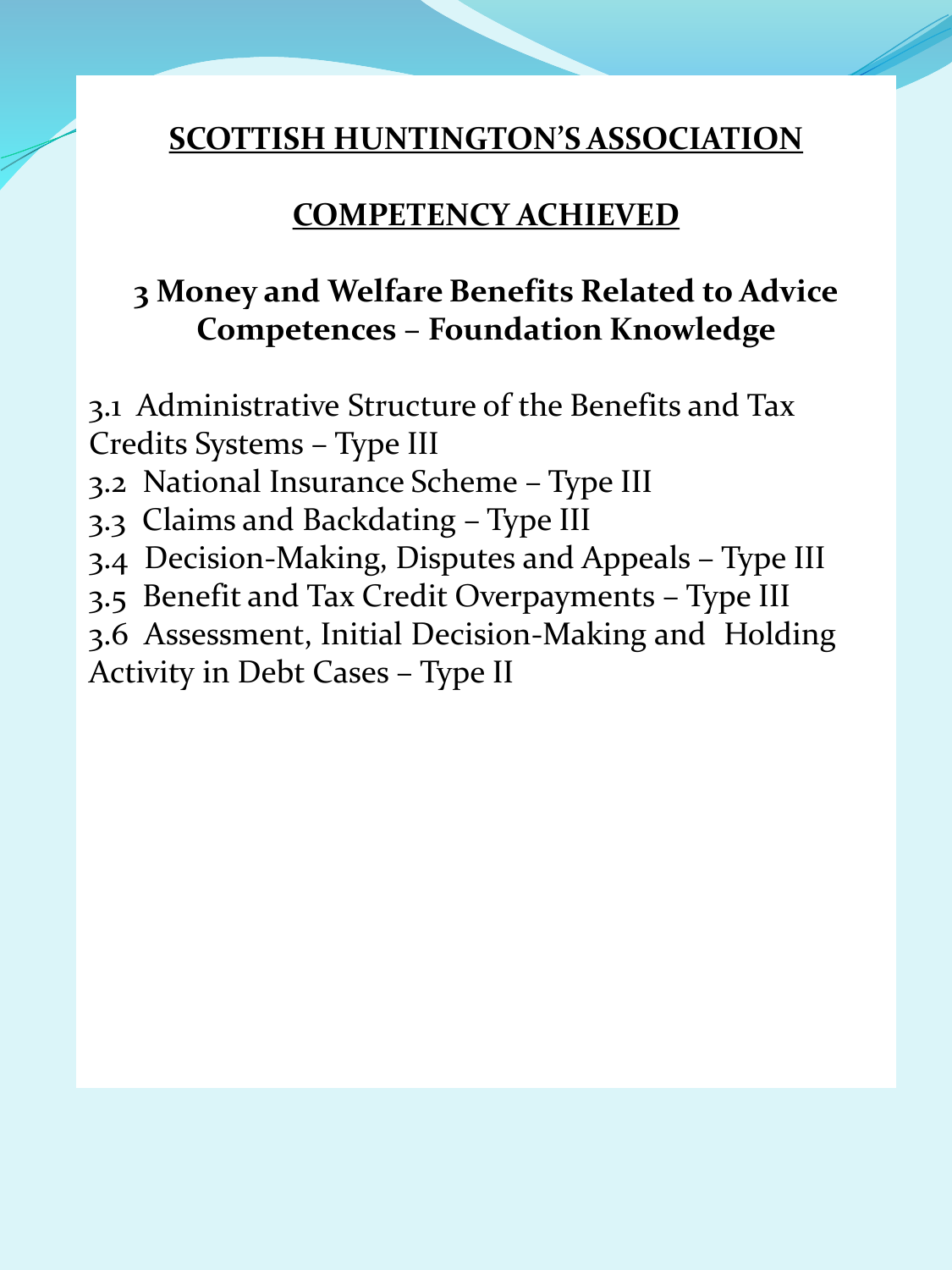### **COMPETENCY ACHIEVED**

### **3 Money and Welfare Benefits Related to Advice Competences – Foundation Knowledge**

3.1 Administrative Structure of the Benefits and Tax Credits Systems – Type III

- 3.2 National Insurance Scheme Type III
- 3.3 Claims and Backdating Type III
- 3.4 Decision-Making, Disputes and Appeals Type III
- 3.5 Benefit and Tax Credit Overpayments Type III

3.6 Assessment, Initial Decision-Making and Holding Activity in Debt Cases – Type II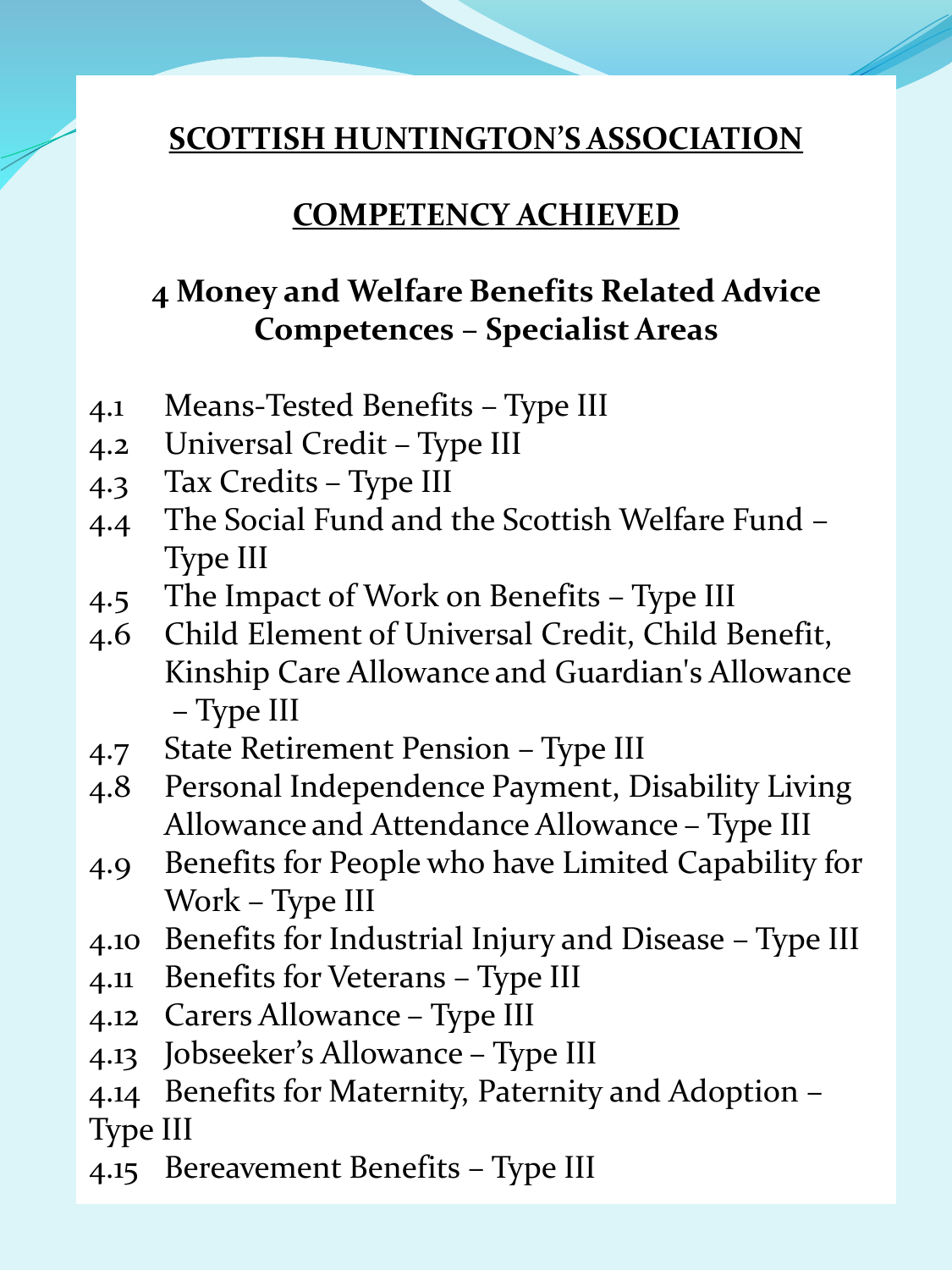#### **COMPETENCY ACHIEVED**

### **4 Money and Welfare Benefits Related Advice Competences – Specialist Areas**

- 4.1 Means-Tested Benefits Type III
- 4.2 Universal Credit Type III
- 4.3 Tax Credits Type III
- 4.4 The Social Fund and the Scottish Welfare Fund Type III
- 4.5 The Impact of Work on Benefits Type III
- 4.6 Child Element of Universal Credit, Child Benefit, Kinship Care Allowance and Guardian's Allowance – Type III
- 4.7 State Retirement Pension Type III
- 4.8 Personal Independence Payment, Disability Living Allowance and Attendance Allowance – Type III
- 4.9 Benefits for People who have Limited Capability for Work – Type III
- 4.10 Benefits for Industrial Injury and Disease Type III
- 4.11 Benefits for Veterans Type III
- 4.12 Carers Allowance Type III
- 4.13 Jobseeker's Allowance Type III
- 4.14 Benefits for Maternity, Paternity and Adoption Type III
- 4.15 Bereavement Benefits Type III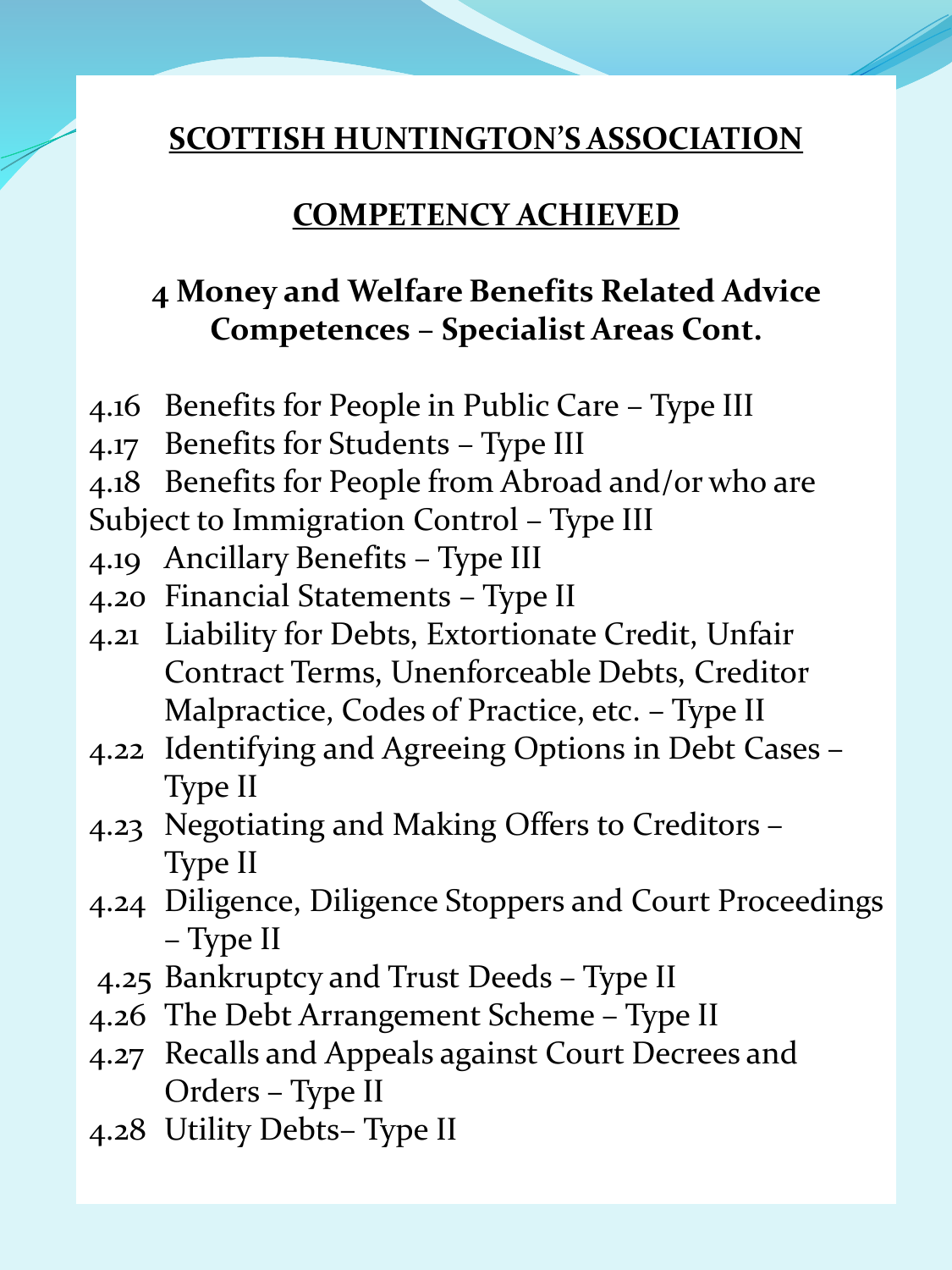#### **COMPETENCY ACHIEVED**

# **4 Money and Welfare Benefits Related Advice Competences – Specialist Areas Cont.**

- 4.16 Benefits for People in Public Care Type III
- 4.17 Benefits for Students Type III
- 4.18 Benefits for People from Abroad and/or who are
- Subject to Immigration Control Type III
- 4.19 Ancillary Benefits Type III
- 4.20 Financial Statements Type II
- 4.21 Liability for Debts, Extortionate Credit, Unfair Contract Terms, Unenforceable Debts, Creditor Malpractice, Codes of Practice, etc. – Type II
- 4.22 Identifying and Agreeing Options in Debt Cases Type II
- 4.23 Negotiating and Making Offers to Creditors Type II
- 4.24 Diligence, Diligence Stoppers and Court Proceedings – Type II
- 4.25 Bankruptcy and Trust Deeds Type II
- 4.26 The Debt Arrangement Scheme Type II
- 4.27 Recalls and Appeals against Court Decrees and Orders – Type II
- 4.28 Utility Debts– Type II